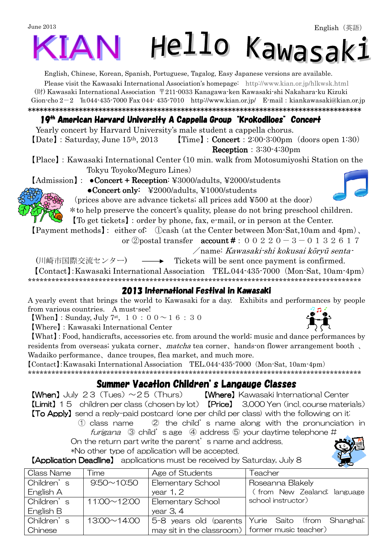# June 2013 Hello Kawasaki

English, Chinese, Korean, Spanish, Portuguese, Tagalog, Easy Japanese versions are available.

Please visit the Kawasaki International Association's homepage: [http://www.kian.or.jp/hlkwsk.html](http://www.kian.or.jp/hlkwsk.shtml) (財) Kawasaki International Association 〒211-0033 Kanagawa-ken Kawasaki-shi Nakahara-ku Kizuki Gion-cho 2-2 ℡044-435-7000 Fax 044- 435-7010 <http://www.kian.or.jp/>E-mail:[kiankawasaki@kian.or.jp](mailto:kiankawasaki@kian.or.jp) \*\*\*\*\*\*\*\*\*\*\*\*\*\*\*\*\*\*\*\*\*\*\*\*\*\*\*\*\*\*\*\*\*\*\*\*\*\*\*\*\*\*\*\*\*\*\*\*\*\*\*\*\*\*\*\*\*\*\*\*\*\*\*\*\*\*\*\*\*\*\*\*\*\*\*\*\*\*\*\*\*\*\*\*\*

#### 19<sup>th</sup> American Harvard University A Cappella Group "Krokodiloes" Concert

Yearly concert by Harvard University's male student a cappella chorus.  $\text{[Date]}:$  Saturday, June  $15^{th}$ , 2013  $\text{[Time]}:$  Concert : 2:00-3:00pm (doors open 1:30) Reception:  $3:30-4:30$ pm

【Place】:Kawasaki International Center (10 min. walk from Motosumiyoshi Station on the Tokyu Toyoko/Meguro Lines)

 $[Admission] : \bullet$ Concert + Reception: ¥3000/adults, ¥2000/students

●Concert only: ●Concert only: ¥2000/adults, ¥1000/students

(prices above are advance tickets; all prices add ¥500 at the door)

\*to help preserve the concert's quality, please do not bring preschool children.

【To get tickets】:order by phone, fax, e-mail, or in person at the Center.

【Payment methods】: either of: ①cash(at the Center between Mon-Sat,10am and 4pm)、

or ②postal transfer  $account #: 0 0 2 2 0 - 3 - 0 1 3 2 6 1 7$ 

/name: Kawasaki-shi kokusai kōryū senta-

(川崎市国際交流センター) – → Tickets will be sent once payment is confirmed.

【Contact】:Kawasaki International Association TEL.044-435-7000(Mon-Sat, 10am-4pm) \*\*\*\*\*\*\*\*\*\*\*\*\*\*\*\*\*\*\*\*\*\*\*\*\*\*\*\*\*\*\*\*\*\*\*\*\*\*\*\*\*\*\*\*\*\*\*\*\*\*\*\*\*\*\*\*\*\*\*\*\*\*\*\*\*\*\*\*\*\*\*\*\*\*\*\*\*\*\*\*\*\*\*\*\*

#### 2013 International Festival in Kawasaki

A yearly event that brings the world to Kawasaki for a day. Exhibits and performances by people from various countries. A must-see!

**[When]**: Sunday, July 7<sup>st</sup>, 1 0 : 0 0  $\sim$  1 6 : 3 0

【Where】:Kawasaki International Center

【What】:Food, handicrafts, accessories etc. from around the world; music and dance performances by residents from overseas; yukata corner, matcha tea corner, hands-on flower arrangement booth, Wadaiko performance、dance troupes, flea market, and much more.

【Contact】:Kawasaki International Association TEL.044-435-7000(Mon-Sat, 10am-4pm)

\*\*\*\*\*\*\*\*\*\*\*\*\*\*\*\*\*\*\*\*\*\*\*\*\*\*\*\*\*\*\*\*\*\*\*\*\*\*\*\*\*\*\*\*\*\*\*\*\*\*\*\*\*\*\*\*\*\*\*\*\*\*\*\*\*\*\*\*\*\*\*\*\*\*\*\*\*\*\*\*\*\*\*\*\*

#### Summer Vacation Children's Langauge Classes

**[When]** July 23 (Tues)  $\sim$  25 (Thurs) **[Where]** Kawasaki International Center 【Limit】15 children per class(chosen by lot) 【Price】 3,000 Yen(incl. course materials) **[To Apply]** send a reply-paid postcard (one per child per class) with the following on it:

① class name ② the child's name along with the pronunciation in furigana  $\circled{3}$  child's age  $\circled{4}$  address  $\circled{5}$  your daytime telephone #

On the return part write the parent's name and address. \*No other type of application will be accepted.

**【Application Deadline】** applications must be received by Saturday, July 8

| <b>Class Name</b> | ime               | Age of Students                                   | Teacher                                            |  |  |
|-------------------|-------------------|---------------------------------------------------|----------------------------------------------------|--|--|
| Children's        | $9:50 \sim 10:50$ | <b>Elementary School</b>                          | Roseanna Blakely                                   |  |  |
| English A         |                   | year $1, 2$                                       | (from New Zealand; language                        |  |  |
| Children's        | 11:00~12:00       | Elementary School                                 | school instructor)                                 |  |  |
| English B         |                   | year $3, 4$                                       |                                                    |  |  |
| Children's        | 13:00~14:00       |                                                   | 5-8 years old (parents Yurie Saito (from Shanghai; |  |  |
| Chinese           |                   | may sit in the classroom)   former music teacher) |                                                    |  |  |